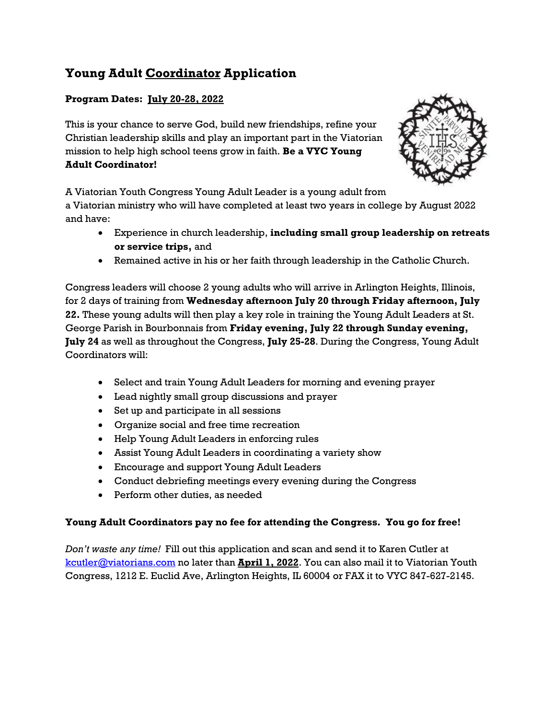# **Young Adult Coordinator Application**

### **Program Dates: July 20-28, 2022**

This is your chance to serve God, build new friendships, refine your Christian leadership skills and play an important part in the Viatorian mission to help high school teens grow in faith. **Be a VYC Young Adult Coordinator!**



A Viatorian Youth Congress Young Adult Leader is a young adult from

a Viatorian ministry who will have completed at least two years in college by August 2022 and have:

- Experience in church leadership, **including small group leadership on retreats or service trips,** and
- Remained active in his or her faith through leadership in the Catholic Church.

Congress leaders will choose 2 young adults who will arrive in Arlington Heights, Illinois, for 2 days of training from **Wednesday afternoon July 20 through Friday afternoon, July 22.** These young adults will then play a key role in training the Young Adult Leaders at St. George Parish in Bourbonnais from **Friday evening, July 22 through Sunday evening, July 24** as well as throughout the Congress, **July 25-28**. During the Congress, Young Adult Coordinators will:

- Select and train Young Adult Leaders for morning and evening prayer
- Lead nightly small group discussions and prayer
- Set up and participate in all sessions
- Organize social and free time recreation
- Help Young Adult Leaders in enforcing rules
- Assist Young Adult Leaders in coordinating a variety show
- Encourage and support Young Adult Leaders
- Conduct debriefing meetings every evening during the Congress
- Perform other duties, as needed

#### **Young Adult Coordinators pay no fee for attending the Congress. You go for free!**

*Don't waste any time!* Fill out this application and scan and send it to Karen Cutler at [kcutler@viatorians.com](mailto:kcutler@viatorians.com) no later than **April 1, 2022**. You can also mail it to Viatorian Youth Congress, 1212 E. Euclid Ave, Arlington Heights, IL 60004 or FAX it to VYC 847-627-2145.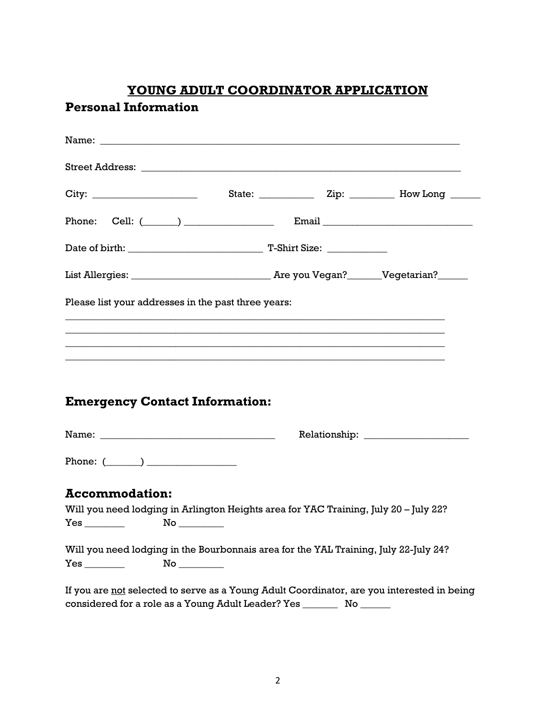# **YOUNG ADULT COORDINATOR APPLICATION**

# **Personal Information**

| Please list your addresses in the past three years:                                        |                                                                                                                       |  |  |
|--------------------------------------------------------------------------------------------|-----------------------------------------------------------------------------------------------------------------------|--|--|
|                                                                                            | <u> 1980 - Johann Stoff, deutscher Stoff, der Stoff, der Stoff, der Stoff, der Stoff, der Stoff, der Stoff, der S</u> |  |  |
|                                                                                            |                                                                                                                       |  |  |
|                                                                                            |                                                                                                                       |  |  |
| <b>Emergency Contact Information:</b>                                                      |                                                                                                                       |  |  |
|                                                                                            |                                                                                                                       |  |  |
| Phone: $(\_\_)$                                                                            |                                                                                                                       |  |  |
| <b>Accommodation:</b>                                                                      |                                                                                                                       |  |  |
| Will you need lodging in Arlington Heights area for YAC Training, July 20 - July 22?       |                                                                                                                       |  |  |
| $Yes \_\_$                                                                                 |                                                                                                                       |  |  |
| Will you need lodging in the Bourbonnais area for the YAL Training, July 22-July 24?       |                                                                                                                       |  |  |
|                                                                                            |                                                                                                                       |  |  |
| If you are not selected to serve as a Young Adult Coordinator, are you interested in being |                                                                                                                       |  |  |
| considered for a role as a Young Adult Leader? Yes ___________ No _______                  |                                                                                                                       |  |  |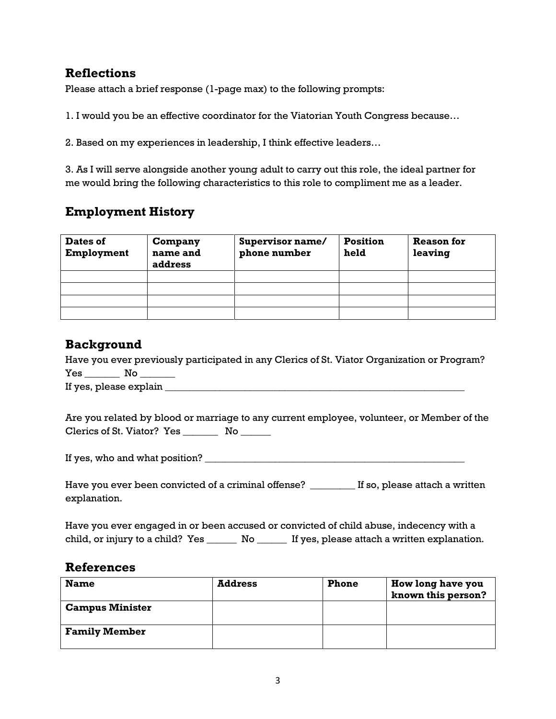## **Reflections**

Please attach a brief response (1-page max) to the following prompts:

1. I would you be an effective coordinator for the Viatorian Youth Congress because…

2. Based on my experiences in leadership, I think effective leaders…

3. As I will serve alongside another young adult to carry out this role, the ideal partner for me would bring the following characteristics to this role to compliment me as a leader.

# **Employment History**

| Dates of<br><b>Employment</b> | Company<br>name and<br>address | Supervisor name/<br>phone number | <b>Position</b><br>held | <b>Reason for</b><br>leaving |
|-------------------------------|--------------------------------|----------------------------------|-------------------------|------------------------------|
|                               |                                |                                  |                         |                              |
|                               |                                |                                  |                         |                              |
|                               |                                |                                  |                         |                              |
|                               |                                |                                  |                         |                              |

## **Background**

Have you ever previously participated in any Clerics of St. Viator Organization or Program? Yes \_\_\_\_\_\_\_\_\_ No \_\_\_\_\_\_\_\_ If yes, please explain  $\Box$ 

Are you related by blood or marriage to any current employee, volunteer, or Member of the Clerics of St. Viator? Yes \_\_\_\_\_\_\_\_\_ No \_\_\_\_\_\_

If yes, who and what position? \_\_\_\_\_\_\_\_\_\_\_\_\_\_\_\_\_\_\_\_\_\_\_\_\_\_\_\_\_\_\_\_\_\_\_\_\_\_\_\_\_\_\_\_\_\_\_\_\_\_\_\_

Have you ever been convicted of a criminal offense? \_\_\_\_\_\_\_\_ If so, please attach a written explanation.

Have you ever engaged in or been accused or convicted of child abuse, indecency with a child, or injury to a child? Yes \_\_\_\_\_\_\_ No \_\_\_\_\_\_ If yes, please attach a written explanation.

### **References**

| <b>Name</b>            | <b>Address</b> | <b>Phone</b> | How long have you<br>known this person? |
|------------------------|----------------|--------------|-----------------------------------------|
| <b>Campus Minister</b> |                |              |                                         |
| <b>Family Member</b>   |                |              |                                         |